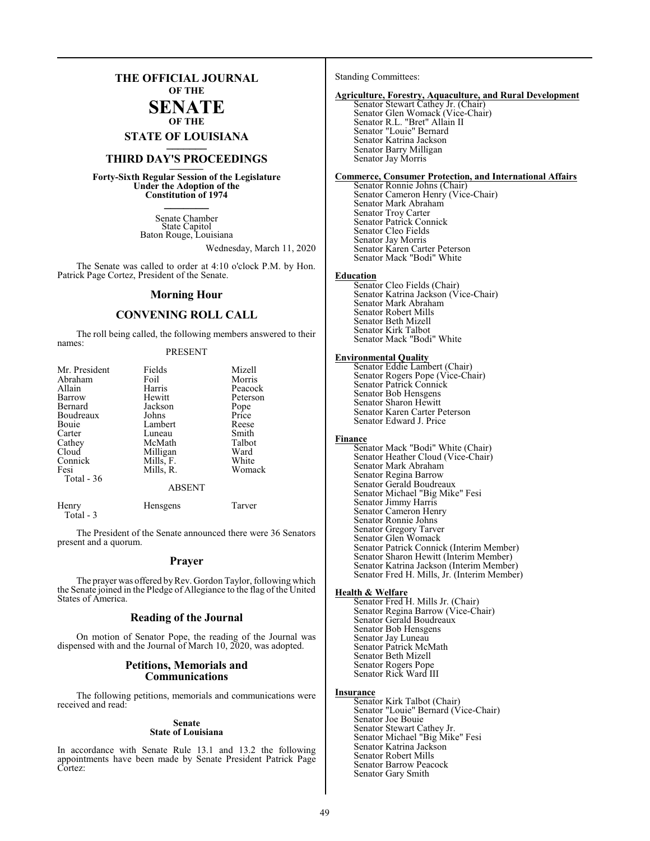# **THE OFFICIAL JOURNAL OF THE**

# **SENATE OF THE**

**STATE OF LOUISIANA \_\_\_\_\_\_\_**

# **THIRD DAY'S PROCEEDINGS \_\_\_\_\_\_\_**

**Forty-Sixth Regular Session of the Legislature Under the Adoption of the Constitution of 1974 \_\_\_\_\_\_\_**

> Senate Chamber State Capitol Baton Rouge, Louisiana

> > Wednesday, March 11, 2020

The Senate was called to order at 4:10 o'clock P.M. by Hon. Patrick Page Cortez, President of the Senate.

#### **Morning Hour**

# **CONVENING ROLL CALL**

The roll being called, the following members answered to their names:

## PRESENT

| Mr. President | Fields    | Mizell   |
|---------------|-----------|----------|
| Abraham       | Foil      | Morris   |
| Allain        | Harris    | Peacock  |
| Barrow        | Hewitt    | Peterson |
| Bernard       | Jackson   | Pope     |
| Boudreaux     | Johns     | Price    |
| Bouie         | Lambert   | Reese    |
| Carter        | Luneau    | Smith    |
| Cathey        | McMath    | Talbot   |
| Cloud         | Milligan  | Ward     |
| Connick       | Mills, F. | White    |
| Fesi          | Mills, R. | Womack   |
| Total - 36    |           |          |
|               | ABSENT    |          |

Henry Hensgens Tarver Total - 3

The President of the Senate announced there were 36 Senators present and a quorum.

#### **Prayer**

The prayer was offered by Rev. Gordon Taylor, following which the Senate joined in the Pledge of Allegiance to the flag of the United States of America.

# **Reading of the Journal**

On motion of Senator Pope, the reading of the Journal was dispensed with and the Journal of March 10, 2020, was adopted.

## **Petitions, Memorials and Communications**

The following petitions, memorials and communications were received and read:

#### **Senate State of Louisiana**

In accordance with Senate Rule 13.1 and 13.2 the following appointments have been made by Senate President Patrick Page Cortez:

Standing Committees:

## **Agriculture, Forestry, Aquaculture, and Rural Development**

Senator Stewart Cathey Jr. (Chair) Senator Glen Womack (Vice-Chair) Senator R.L. "Bret" Allain II Senator "Louie" Bernard Senator Katrina Jackson Senator Barry Milligan Senator Jay Morris

#### **Commerce, Consumer Protection, and International Affairs**

Senator Ronnie Johns (Chair) Senator Cameron Henry (Vice-Chair) Senator Mark Abraham Senator Troy Carter Senator Patrick Connick Senator Cleo Fields Senator Jay Morris Senator Karen Carter Peterson Senator Mack "Bodi" White

#### **Education**

Senator Cleo Fields (Chair) Senator Katrina Jackson (Vice-Chair) Senator Mark Abraham Senator Robert Mills Senator Beth Mizell Senator Kirk Talbot Senator Mack "Bodi" White

#### **Environmental Quality**

Senator Eddie Lambert (Chair) Senator Rogers Pope (Vice-Chair) Senator Patrick Connick Senator Bob Hensgens Senator Sharon Hewitt Senator Karen Carter Peterson Senator Edward J. Price

#### **Finance**

Senator Mack "Bodi" White (Chair) Senator Heather Cloud (Vice-Chair) Senator Mark Abraham Senator Regina Barrow Senator Gerald Boudreaux Senator Michael "Big Mike" Fesi Senator Jimmy Harris Senator Cameron Henry Senator Ronnie Johns Senator Gregory Tarver Senator Glen Womack Senator Patrick Connick (Interim Member) Senator Sharon Hewitt (Interim Member) Senator Katrina Jackson (Interim Member) Senator Fred H. Mills, Jr. (Interim Member)

#### **Health & Welfare**

Senator Fred H. Mills Jr. (Chair) Senator Regina Barrow (Vice-Chair) Senator Gerald Boudreaux Senator Bob Hensgens Senator Jay Luneau Senator Patrick McMath Senator Beth Mizell Senator Rogers Pope Senator Rick Ward III

#### **Insurance**

Senator Kirk Talbot (Chair) Senator "Louie" Bernard (Vice-Chair) Senator Joe Bouie Senator Stewart Cathey Jr. Senator Michael "Big Mike" Fesi Senator Katrina Jackson Senator Robert Mills Senator Barrow Peacock Senator Gary Smith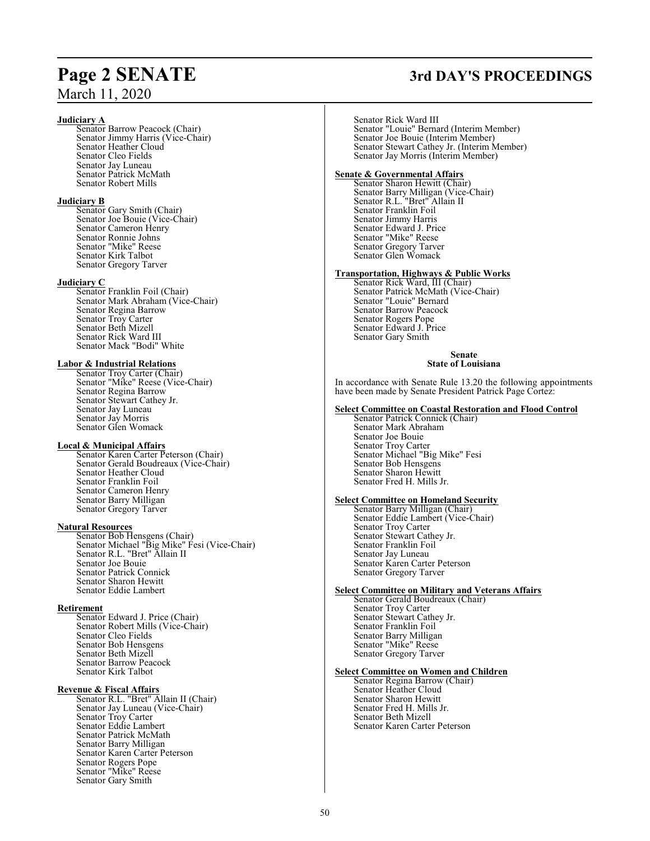# March 11, 2020

#### **Judiciary A**

Senator Barrow Peacock (Chair) Senator Jimmy Harris (Vice-Chair) Senator Heather Cloud Senator Cleo Fields Senator Jay Luneau Senator Patrick McMath Senator Robert Mills

## **Judiciary B**

Senator Gary Smith (Chair) Senator Joe Bouie (Vice-Chair) Senator Cameron Henry Senator Ronnie Johns Senator "Mike" Reese Senator Kirk Talbot Senator Gregory Tarver

#### **Judiciary C**

Senator Franklin Foil (Chair) Senator Mark Abraham (Vice-Chair) Senator Regina Barrow Senator Troy Carter Senator Beth Mizell Senator Rick Ward III Senator Mack "Bodi" White

## **Labor & Industrial Relations**

Senator Troy Carter (Chair) Senator "Mike" Reese (Vice-Chair) Senator Regina Barrow Senator Stewart Cathey Jr. Senator Jay Luneau Senator Jay Morris Senator Glen Womack

## **Local & Municipal Affairs**

Senator Karen Carter Peterson (Chair) Senator Gerald Boudreaux (Vice-Chair) Senator Heather Cloud Senator Franklin Foil Senator Cameron Henry Senator Barry Milligan Senator Gregory Tarver

## **Natural Resources**

Senator Bob Hensgens (Chair) Senator Michael "Big Mike" Fesi (Vice-Chair) Senator R.L. "Bret" Allain II Senator R.L. "Bret" Allain II<br>Senator Joe Bouie Senator Patrick Connick Senator Sharon Hewitt Senator Eddie Lambert

# **Retirement**

Senator Edward J. Price (Chair) Senator Robert Mills (Vice-Chair) Senator Cleo Fields Senator Bob Hensgens Senator Beth Mizell Senator Barrow Peacock Senator Kirk Talbot

## **Revenue & Fiscal Affairs**

Senator R.L. "Bret" Allain II (Chair) Senator Jay Luneau (Vice-Chair) Senator Troy Carter Senator Eddie Lambert Senator Patrick McMath Senator Barry Milligan Senator Karen Carter Peterson Senator Rogers Pope Senator "Mike" Reese Senator Gary Smith

# **Page 2 SENATE 3rd DAY'S PROCEEDINGS**

Senator Rick Ward III Senator "Louie" Bernard (Interim Member) Senator Joe Bouie (Interim Member) Senator Stewart Cathey Jr. (Interim Member) Senator Jay Morris (Interim Member) **Senate & Governmental Affairs** Senator Sharon Hewitt (Chair)

Senator Barry Milligan (Vice-Chair) Senator R.L. "Bret" Allain II Senator Franklin Foil Senator Jimmy Harris Senator Edward J. Price Senator "Mike" Reese Senator Gregory Tarver Senator Glen Womack

#### **Transportation, Highways & Public Works**

Senator Rick Ward, III (Chair) Senator Patrick McMath (Vice-Chair) Senator "Louie" Bernard Senator Barrow Peacock Senator Rogers Pope Senator Edward J. Price Senator Gary Smith

#### **Senate State of Louisiana**

In accordance with Senate Rule 13.20 the following appointments have been made by Senate President Patrick Page Cortez:

#### **Select Committee on Coastal Restoration and Flood Control**

Senator Patrick Connick (Chair) Senator Mark Abraham Senator Joe Bouie Senator Troy Carter Senator Michael "Big Mike" Fesi Senator Bob Hensgens Senator Sharon Hewitt Senator Fred H. Mills Jr.

## **Select Committee on Homeland Security**

Senator Barry Milligan (Chair) Senator Eddie Lambert (Vice-Chair) Senator Troy Carter Senator Stewart Cathey Jr. Senator Franklin Foil Senator Jay Luneau Senator Karen Carter Peterson Senator Gregory Tarver

#### **Select Committee on Military and Veterans Affairs**

Senator Gerald Boudreaux (Chair) Senator Troy Carter Senator Stewart Cathey Jr. Senator Franklin Foil Senator Barry Milligan Senator "Mike" Reese Senator Gregory Tarver

## **Select Committee on Women and Children**

Senator Regina Barrow (Chair) Senator Heather Cloud Senator Sharon Hewitt Senator Fred H. Mills Jr. Senator Beth Mizell Senator Karen Carter Peterson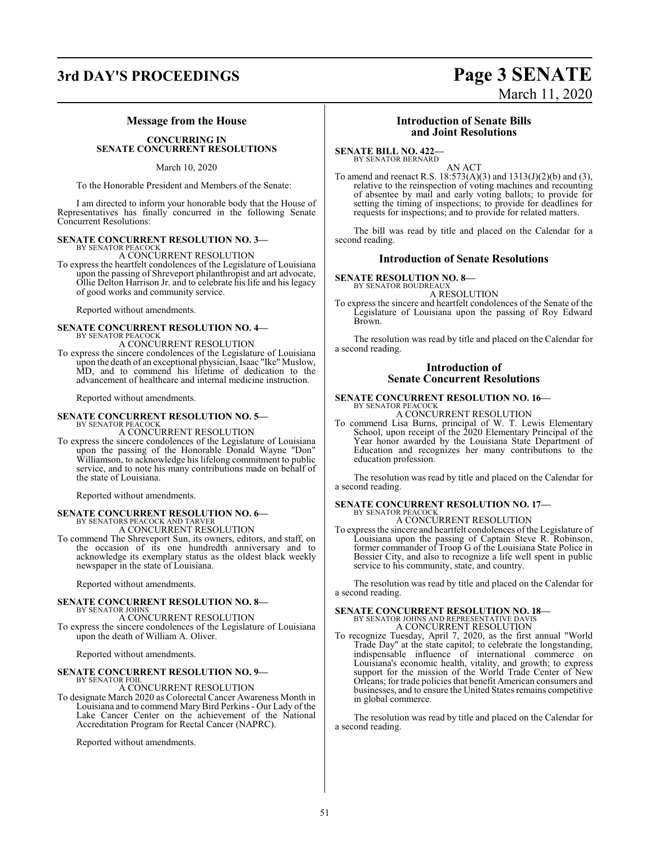# **3rd DAY'S PROCEEDINGS Page 3 SENATE**

# March 11, 2020

## **Message from the House**

#### **CONCURRING IN SENATE CONCURRENT RESOLUTIONS**

March 10, 2020

To the Honorable President and Members of the Senate:

I am directed to inform your honorable body that the House of Representatives has finally concurred in the following Senate Concurrent Resolutions:

#### **SENATE CONCURRENT RESOLUTION NO. 3—** BY SENATOR PEACOCK

A CONCURRENT RESOLUTION

To express the heartfelt condolences of the Legislature of Louisiana upon the passing of Shreveport philanthropist and art advocate, Ollie Delton Harrison Jr. and to celebrate his life and his legacy of good works and community service.

Reported without amendments.

# **SENATE CONCURRENT RESOLUTION NO. 4—** BY SENATOR PEACOCK

A CONCURRENT RESOLUTION

To express the sincere condolences of the Legislature of Louisiana upon the death of an exceptional physician, Isaac "Ike" Muslow, MD, and to commend his lifetime of dedication to the advancement of healthcare and internal medicine instruction.

Reported without amendments.

#### **SENATE CONCURRENT RESOLUTION NO. 5—** BY SENATOR PEACOCK

A CONCURRENT RESOLUTION

To express the sincere condolences of the Legislature of Louisiana upon the passing of the Honorable Donald Wayne "Don" Williamson, to acknowledge his lifelong commitment to public service, and to note his many contributions made on behalf of the state of Louisiana.

Reported without amendments.

# **SENATE CONCURRENT RESOLUTION NO. 6—**<br>BY SENATORS PEACOCK AND TARVER<br>A CONCURRENT RESOLUTION

To commend The Shreveport Sun, its owners, editors, and staff, on

the occasion of its one hundredth anniversary and to acknowledge its exemplary status as the oldest black weekly newspaper in the state of Louisiana.

Reported without amendments.

#### **SENATE CONCURRENT RESOLUTION NO. 8—** BY SENATOR JOHNS

A CONCURRENT RESOLUTION

To express the sincere condolences of the Legislature of Louisiana upon the death of William A. Oliver.

Reported without amendments.

#### **SENATE CONCURRENT RESOLUTION NO. 9—** BY SENATOR FOIL

A CONCURRENT RESOLUTION

To designate March 2020 as Colorectal Cancer Awareness Month in Louisiana and to commend MaryBird Perkins- Our Lady of the Lake Cancer Center on the achievement of the National Accreditation Program for Rectal Cancer (NAPRC).

Reported without amendments.

# **Introduction of Senate Bills and Joint Resolutions**

**SENATE BILL NO. 422—**

BY SENATOR BERNARD AN ACT

To amend and reenact R.S. 18:573(A)(3) and 1313(J)(2)(b) and (3), relative to the reinspection of voting machines and recounting of absentee by mail and early voting ballots; to provide for setting the timing of inspections; to provide for deadlines for requests for inspections; and to provide for related matters.

The bill was read by title and placed on the Calendar for a second reading.

# **Introduction of Senate Resolutions**

**SENATE RESOLUTION NO. 8—** BY SENATOR BOUDREAUX

A RESOLUTION

To express the sincere and heartfelt condolences of the Senate of the Legislature of Louisiana upon the passing of Roy Edward Brown.

The resolution was read by title and placed on the Calendar for a second reading.

# **Introduction of Senate Concurrent Resolutions**

#### **SENATE CONCURRENT RESOLUTION NO. 16—** BY SENATOR PEACOCK

A CONCURRENT RESOLUTION To commend Lisa Burns, principal of W. T. Lewis Elementary School, upon receipt of the 2020 Elementary Principal of the Year honor awarded by the Louisiana State Department of Education and recognizes her many contributions to the education profession.

The resolution was read by title and placed on the Calendar for a second reading.

# **SENATE CONCURRENT RESOLUTION NO. 17—** BY SENATOR PEACOCK A CONCURRENT RESOLUTION

To express the sincere and heartfelt condolences of the Legislature of Louisiana upon the passing of Captain Steve R. Robinson, former commander of Troop G of the Louisiana State Police in Bossier City, and also to recognize a life well spent in public service to his community, state, and country.

The resolution was read by title and placed on the Calendar for a second reading.

#### **SENATE CONCURRENT RESOLUTION NO. 18—** BY SENATOR JOHNS AND REPRESENTATIVE DAVIS A CONCURRENT RESOLUTION

To recognize Tuesday, April 7, 2020, as the first annual "World Trade Day" at the state capitol; to celebrate the longstanding, indispensable influence of international commerce on Louisiana's economic health, vitality, and growth; to express support for the mission of the World Trade Center of New Orleans; for trade policies that benefit American consumers and businesses, and to ensure the United States remains competitive in global commerce.

The resolution was read by title and placed on the Calendar for a second reading.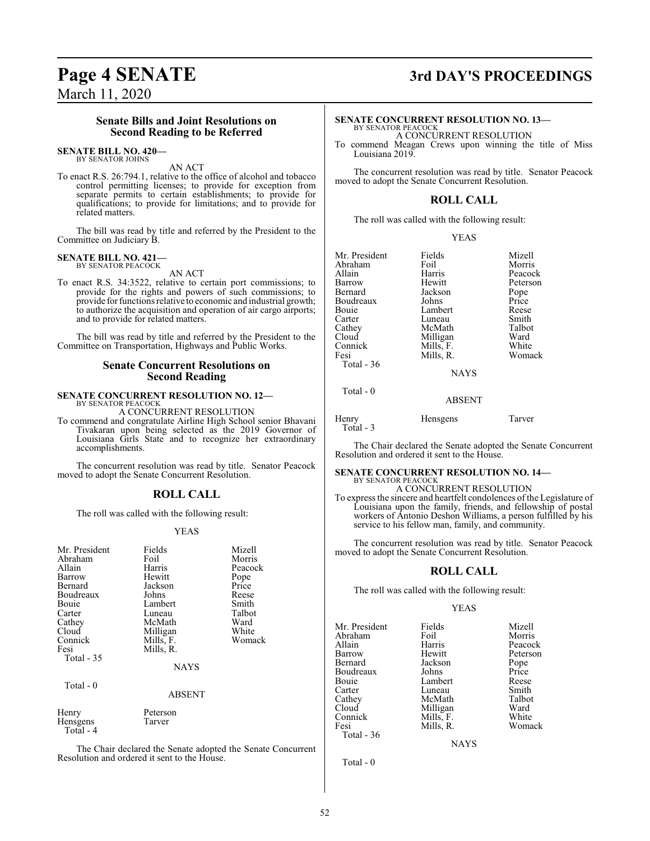# **Page 4 SENATE 3rd DAY'S PROCEEDINGS**

March 11, 2020

## **Senate Bills and Joint Resolutions on Second Reading to be Referred**

#### **SENATE BILL NO. 420—** BY SENATOR JOHNS

AN ACT

To enact R.S. 26:794.1, relative to the office of alcohol and tobacco control permitting licenses; to provide for exception from separate permits to certain establishments; to provide for qualifications; to provide for limitations; and to provide for related matters.

The bill was read by title and referred by the President to the Committee on Judiciary B.

#### **SENATE BILL NO. 421—** BY SENATOR PEACOCK

AN ACT

To enact R.S. 34:3522, relative to certain port commissions; to provide for the rights and powers of such commissions; to provide for functions relative to economic and industrial growth; to authorize the acquisition and operation of air cargo airports; and to provide for related matters.

The bill was read by title and referred by the President to the Committee on Transportation, Highways and Public Works.

# **Senate Concurrent Resolutions on Second Reading**

# **SENATE CONCURRENT RESOLUTION NO. 12—** BY SENATOR PEACOCK

A CONCURRENT RESOLUTION

To commend and congratulate Airline High School senior Bhavani Tivakaran upon being selected as the 2019 Governor of Louisiana Girls State and to recognize her extraordinary accomplishments.

The concurrent resolution was read by title. Senator Peacock moved to adopt the Senate Concurrent Resolution.

# **ROLL CALL**

The roll was called with the following result:

#### YEAS

| Mr. President<br>Abraham<br>Allain<br>Barrow<br>Bernard<br>Boudreaux<br>Bouie<br>Carter<br>Cathey<br>Cloud<br>Connick<br>Fesi<br>Total - 35 | Fields<br>Foil<br>Harris<br>Hewitt<br>Jackson<br>Johns<br>Lambert<br>Luneau<br>McMath<br>Milligan<br>Mills, F.<br>Mills, R.<br><b>NAYS</b> | Mizell<br>Morris<br>Peacock<br>Pope<br>Price<br>Reese<br>Smith<br>Talbot<br>Ward<br>White<br>Womack |
|---------------------------------------------------------------------------------------------------------------------------------------------|--------------------------------------------------------------------------------------------------------------------------------------------|-----------------------------------------------------------------------------------------------------|
| Total - 0                                                                                                                                   | <b>ABSENT</b>                                                                                                                              |                                                                                                     |
| Henry<br>Hensgens<br>Total - 4                                                                                                              | Peterson<br>Tarver                                                                                                                         |                                                                                                     |

The Chair declared the Senate adopted the Senate Concurrent Resolution and ordered it sent to the House.

# **SENATE CONCURRENT RESOLUTION NO. 13—**

BY SENATOR PEACOCK A CONCURRENT RESOLUTION

To commend Meagan Crews upon winning the title of Miss Louisiana 2019.

The concurrent resolution was read by title. Senator Peacock moved to adopt the Senate Concurrent Resolution.

## **ROLL CALL**

The roll was called with the following result:

| v<br>I |
|--------|
|        |

| Mr. President | Fields    | Mizell   |
|---------------|-----------|----------|
| Abraham       | Foil      | Morris   |
| Allain        | Harris    | Peacock  |
| Barrow        | Hewitt    | Peterson |
| Bernard       | Jackson   | Pope     |
| Boudreaux     | Johns     | Price    |
| Bouie         | Lambert   | Reese    |
| Carter        | Luneau    | Smith    |
| Cathey        | McMath    | Talbot   |
| Cloud         | Milligan  | Ward     |
| Connick       | Mills, F. | White    |
| Fesi          | Mills, R. | Womack   |
| Total $-36$   |           |          |
|               | NAYS      |          |

Total - 0

ABSENT

Henry Hensgens Tarver Total - 3

The Chair declared the Senate adopted the Senate Concurrent Resolution and ordered it sent to the House.

#### **SENATE CONCURRENT RESOLUTION NO. 14—** BY SENATOR PEACOCK

A CONCURRENT RESOLUTION

To express the sincere and heartfelt condolences of the Legislature of Louisiana upon the family, friends, and fellowship of postal workers of Antonio Deshon Williams, a person fulfilled by his service to his fellow man, family, and community.

The concurrent resolution was read by title. Senator Peacock moved to adopt the Senate Concurrent Resolution.

## **ROLL CALL**

The roll was called with the following result:

#### YEAS

| Mr. President | Fields    | Mizell   |
|---------------|-----------|----------|
| Abraham       | Foil      | Morris   |
| Allain        | Harris    | Peacock  |
| Barrow        | Hewitt    | Peterson |
| Bernard       | Jackson   | Pope     |
| Boudreaux     | Johns     | Price    |
| Bouie         | Lambert   | Reese    |
| Carter        | Luneau    | Smith    |
| Cathey        | McMath    | Talbot   |
| Cloud         | Milligan  | Ward     |
| Connick       | Mills, F. | White    |
| Fesi          | Mills, R. | Womack   |
| $Total - 36$  |           |          |

**NAYS** 

Total - 0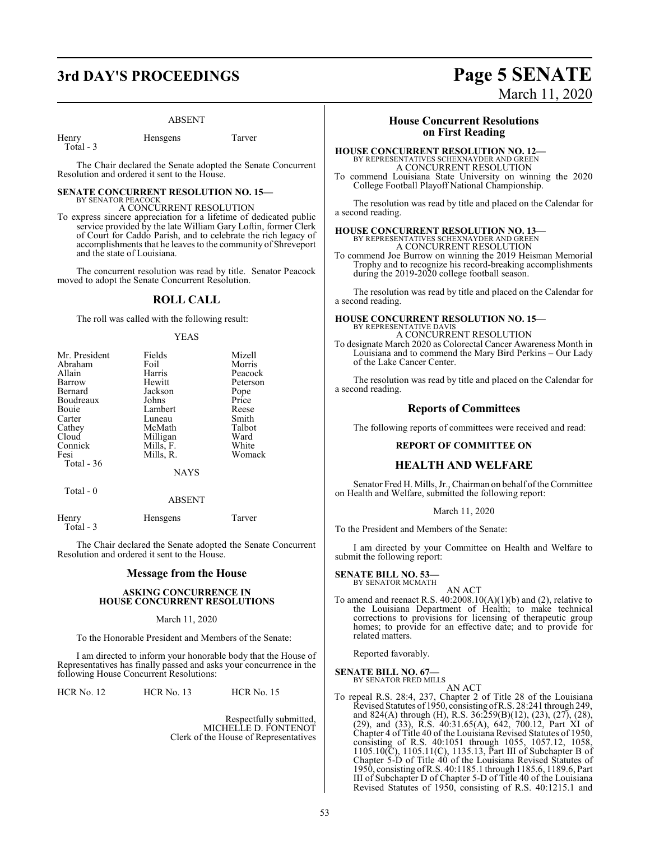# **3rd DAY'S PROCEEDINGS Page 5 SENATE**

#### ABSENT

Henry Hensgens Tarver Total - 3

The Chair declared the Senate adopted the Senate Concurrent Resolution and ordered it sent to the House.

#### **SENATE CONCURRENT RESOLUTION NO. 15—** BY SENATOR PEACOCK

A CONCURRENT RESOLUTION To express sincere appreciation for a lifetime of dedicated public service provided by the late William Gary Loftin, former Clerk of Court for Caddo Parish, and to celebrate the rich legacy of accomplishments that he leaves to the community of Shreveport and the state of Louisiana.

The concurrent resolution was read by title. Senator Peacock moved to adopt the Senate Concurrent Resolution.

## **ROLL CALL**

The roll was called with the following result:

#### YEAS

| Mr. President | Fields      | Mizell   |
|---------------|-------------|----------|
| Abraham       | Foil        | Morris   |
| Allain        | Harris      | Peacock  |
| Barrow        | Hewitt      | Peterson |
| Bernard       | Jackson     | Pope     |
| Boudreaux     | Johns       | Price    |
| Bouie         | Lambert     | Reese    |
| Carter        | Luneau      | Smith    |
| Cathey        | McMath      | Talbot   |
| Cloud         | Milligan    | Ward     |
| Connick       | Mills, F.   | White    |
| Fesi          | Mills, R.   | Womack   |
| Total - 36    |             |          |
|               | <b>NAYS</b> |          |

#### ABSENT

| Henry     | Hensgens | Tarver |
|-----------|----------|--------|
| Total - 3 |          |        |

Total - 0

The Chair declared the Senate adopted the Senate Concurrent Resolution and ordered it sent to the House.

#### **Message from the House**

#### **ASKING CONCURRENCE IN HOUSE CONCURRENT RESOLUTIONS**

#### March 11, 2020

To the Honorable President and Members of the Senate:

I am directed to inform your honorable body that the House of Representatives has finally passed and asks your concurrence in the following House Concurrent Resolutions:

HCR No. 12 HCR No. 13 HCR No. 15

Respectfully submitted, MICHELLE D. FONTENOT Clerk of the House of Representatives

# **House Concurrent Resolutions on First Reading**

March 11, 2020

#### **HOUSE CONCURRENT RESOLUTION NO. 12—**

BY REPRESENTATIVES SCHEXNAYDER AND GREEN A CONCURRENT RESOLUTION

To commend Louisiana State University on winning the 2020 College Football Playoff National Championship.

The resolution was read by title and placed on the Calendar for a second reading.

# **HOUSE CONCURRENT RESOLUTION NO. 13—** BY REPRESENTATIVES SCHEXNAYDER AND GREEN A CONCURRENT RESOLUTION

To commend Joe Burrow on winning the 2019 Heisman Memorial Trophy and to recognize his record-breaking accomplishments during the 2019-2020 college football season.

The resolution was read by title and placed on the Calendar for a second reading.

#### **HOUSE CONCURRENT RESOLUTION NO. 15—**

BY REPRESENTATIVE DAVIS A CONCURRENT RESOLUTION

To designate March 2020 as Colorectal Cancer Awareness Month in Louisiana and to commend the Mary Bird Perkins – Our Lady of the Lake Cancer Center.

The resolution was read by title and placed on the Calendar for a second reading.

#### **Reports of Committees**

The following reports of committees were received and read:

#### **REPORT OF COMMITTEE ON**

#### **HEALTH AND WELFARE**

Senator Fred H. Mills, Jr., Chairman on behalf of the Committee on Health and Welfare, submitted the following report:

#### March 11, 2020

To the President and Members of the Senate:

I am directed by your Committee on Health and Welfare to submit the following report:

#### **SENATE BILL NO. 53—** BY SENATOR MCMATH

AN ACT

To amend and reenact R.S. 40:2008.10(A)(1)(b) and (2), relative to the Louisiana Department of Health; to make technical corrections to provisions for licensing of therapeutic group homes; to provide for an effective date; and to provide for related matters.

Reported favorably.

#### **SENATE BILL NO. 67—**

BY SENATOR FRED MILLS AN ACT

To repeal R.S. 28:4, 237, Chapter 2 of Title 28 of the Louisiana Revised Statutes of 1950, consisting ofR.S. 28:241 through 249, and 824(A) through (H), R.S. 36:259(B)(12), (23), (27), (28), (29), and (33), R.S. 40:31.65(A), 642, 700.12, Part XI of Chapter 4 of Title 40 of the Louisiana Revised Statutes of 1950, consisting of R.S. 40:1051 through 1055, 1057.12, 1058, 1105.10(C), 1105.11(C), 1135.13, Part III of Subchapter B of Chapter 5-D of Title 40 of the Louisiana Revised Statutes of 1950, consisting ofR.S. 40:1185.1 through 1185.6, 1189.6, Part III of Subchapter D of Chapter 5-D of Title 40 of the Louisiana Revised Statutes of 1950, consisting of R.S. 40:1215.1 and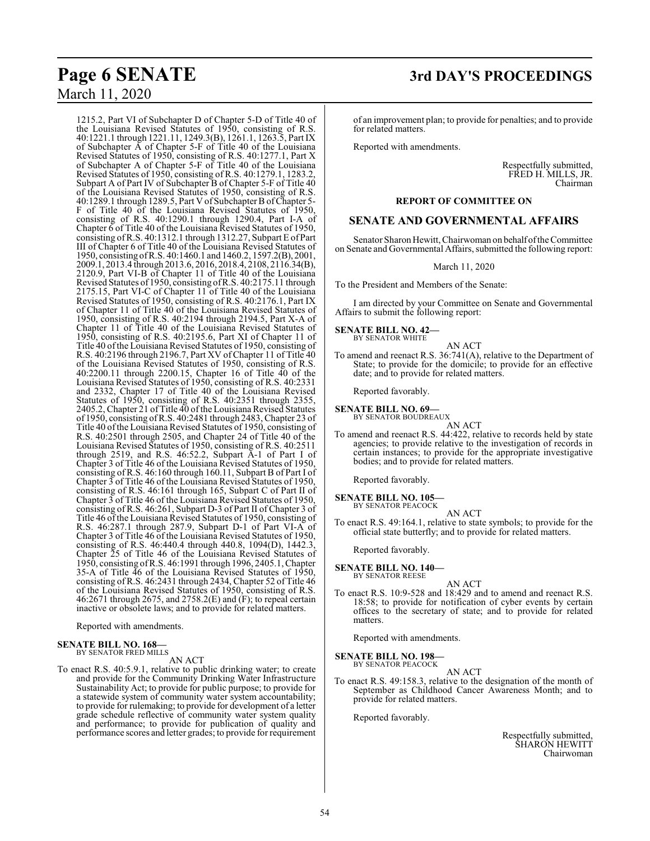# March 11, 2020

1215.2, Part VI of Subchapter D of Chapter 5-D of Title 40 of the Louisiana Revised Statutes of 1950, consisting of R.S. 40:1221.1 through 1221.11, 1249.3(B), 1261.1, 1263.5, Part IX of Subchapter A of Chapter 5-F of Title 40 of the Louisiana Revised Statutes of 1950, consisting of R.S. 40:1277.1, Part X of Subchapter A of Chapter 5-F of Title 40 of the Louisiana Revised Statutes of 1950, consisting of R.S. 40:1279.1, 1283.2, Subpart A of Part IV of Subchapter B of Chapter 5-F of Title 40 of the Louisiana Revised Statutes of 1950, consisting of R.S. 40:1289.1 through 1289.5, Part V of Subchapter B ofChapter 5- F of Title 40 of the Louisiana Revised Statutes of 1950, consisting of R.S. 40:1290.1 through 1290.4, Part I-A of Chapter 6 of Title 40 of the Louisiana Revised Statutes of 1950, consisting ofR.S. 40:1312.1 through 1312.27, Subpart E of Part III of Chapter 6 of Title 40 of the Louisiana Revised Statutes of 1950, consisting ofR.S. 40:1460.1 and 1460.2, 1597.2(B), 2001, 2009.1, 2013.4 through 2013.6, 2016, 2018.4, 2108, 2116.34(B), 2120.9, Part VI-B of Chapter 11 of Title 40 of the Louisiana Revised Statutes of 1950, consisting ofR.S. 40:2175.11 through 2175.15, Part VI-C of Chapter 11 of Title 40 of the Louisiana Revised Statutes of 1950, consisting of R.S. 40:2176.1, Part IX of Chapter 11 of Title 40 of the Louisiana Revised Statutes of 1950, consisting of R.S. 40:2194 through 2194.5, Part X-A of Chapter 11 of Title 40 of the Louisiana Revised Statutes of 1950, consisting of R.S. 40:2195.6, Part XI of Chapter 11 of Title 40 ofthe Louisiana Revised Statutes of 1950, consisting of R.S. 40:2196 through 2196.7, Part XV of Chapter 11 of Title 40 of the Louisiana Revised Statutes of 1950, consisting of R.S. 40:2200.11 through 2200.15, Chapter 16 of Title 40 of the Louisiana Revised Statutes of 1950, consisting of R.S. 40:2331 and 2332, Chapter 17 of Title 40 of the Louisiana Revised Statutes of 1950, consisting of R.S. 40:2351 through 2355, 2405.2, Chapter 21 of Title 40 of the Louisiana Revised Statutes of 1950, consisting ofR.S. 40:2481 through 2483, Chapter 23 of Title 40 ofthe Louisiana Revised Statutes of 1950, consisting of R.S. 40:2501 through 2505, and Chapter 24 of Title 40 of the Louisiana Revised Statutes of 1950, consisting of R.S. 40:2511 through 2519, and R.S. 46:52.2, Subpart A-1 of Part I of Chapter 3 of Title 46 of the Louisiana Revised Statutes of 1950, consisting of R.S. 46:160 through 160.11, Subpart B of Part I of Chapter 3 of Title 46 of the Louisiana Revised Statutes of 1950, consisting of R.S. 46:161 through 165, Subpart C of Part II of Chapter 3 of Title 46 of the Louisiana Revised Statutes of 1950, consisting of R.S. 46:261, Subpart D-3 of Part II of Chapter 3 of Title 46 of the Louisiana Revised Statutes of 1950, consisting of R.S. 46:287.1 through 287.9, Subpart D-1 of Part VI-A of Chapter 3 of Title 46 of the Louisiana Revised Statutes of 1950, consisting of R.S. 46:440.4 through 440.8, 1094(D), 1442.3, Chapter 25 of Title 46 of the Louisiana Revised Statutes of 1950, consisting ofR.S. 46:1991 through 1996, 2405.1, Chapter 35-A of Title 46 of the Louisiana Revised Statutes of 1950, consisting of R.S. 46:2431 through 2434, Chapter 52 of Title 46 of the Louisiana Revised Statutes of 1950, consisting of R.S. 46:2671 through 2675, and 2758.2(E) and  $(F)$ ; to repeal certain inactive or obsolete laws; and to provide for related matters.

Reported with amendments.

#### **SENATE BILL NO. 168—** BY SENATOR FRED MILLS

AN ACT

To enact R.S. 40:5.9.1, relative to public drinking water; to create and provide for the Community Drinking Water Infrastructure Sustainability Act; to provide for public purpose; to provide for a statewide system of community water system accountability; to provide for rulemaking; to provide for development of a letter grade schedule reflective of community water system quality and performance; to provide for publication of quality and performance scores and letter grades; to provide for requirement

of an improvement plan; to provide for penalties; and to provide for related matters.

Reported with amendments.

Respectfully submitted, FRED H. MILLS, JR. Chairman

#### **REPORT OF COMMITTEE ON**

#### **SENATE AND GOVERNMENTAL AFFAIRS**

Senator Sharon Hewitt, Chairwoman on behalfofthe Committee on Senate and Governmental Affairs, submitted the following report:

March 11, 2020

To the President and Members of the Senate:

I am directed by your Committee on Senate and Governmental Affairs to submit the following report:

#### **SENATE BILL NO. 42—** BY SENATOR WHITE

AN ACT To amend and reenact R.S. 36:741(A), relative to the Department of State; to provide for the domicile; to provide for an effective date; and to provide for related matters.

Reported favorably.

- **SENATE BILL NO. 69—** BY SENATOR BOUDREAUX
	-
- AN ACT To amend and reenact R.S. 44:422, relative to records held by state agencies; to provide relative to the investigation of records in certain instances; to provide for the appropriate investigative bodies; and to provide for related matters.

Reported favorably.

#### **SENATE BILL NO. 105—** BY SENATOR PEACOCK

AN ACT To enact R.S. 49:164.1, relative to state symbols; to provide for the official state butterfly; and to provide for related matters.

Reported favorably.

#### **SENATE BILL NO. 140—**

- BY SENATOR REESE
- AN ACT To enact R.S. 10:9-528 and 18:429 and to amend and reenact R.S. 18:58; to provide for notification of cyber events by certain offices to the secretary of state; and to provide for related matters.

Reported with amendments.

**SENATE BILL NO. 198—** BY SENATOR PEACOCK

AN ACT

To enact R.S. 49:158.3, relative to the designation of the month of September as Childhood Cancer Awareness Month; and to provide for related matters.

Reported favorably.

Respectfully submitted, SHARON HEWITT Chairwoman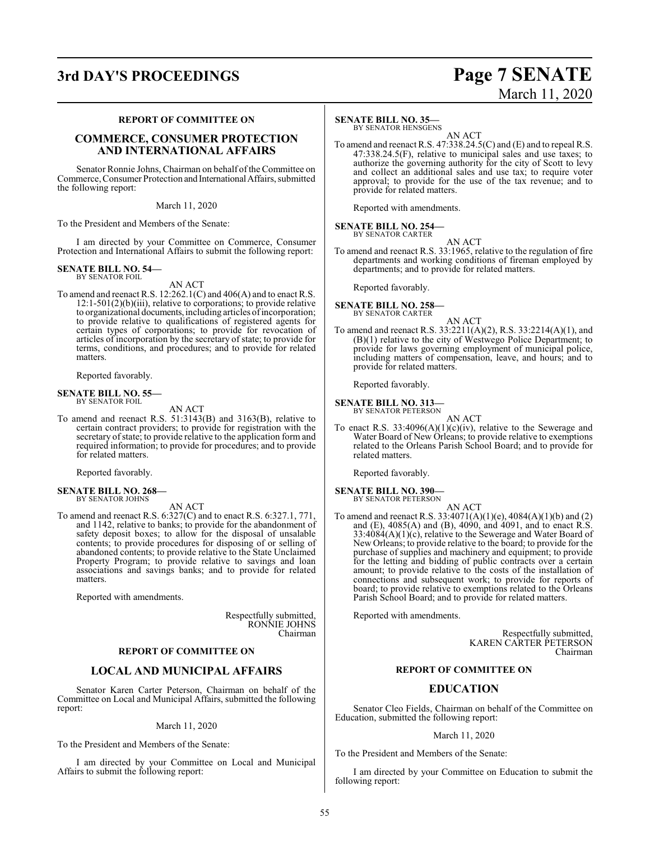# **3rd DAY'S PROCEEDINGS Page 7 SENATE**

# March 11, 2020

#### **REPORT OF COMMITTEE ON**

# **COMMERCE, CONSUMER PROTECTION AND INTERNATIONAL AFFAIRS**

Senator Ronnie Johns, Chairman on behalf of the Committee on Commerce, Consumer Protection and InternationalAffairs, submitted the following report:

March 11, 2020

To the President and Members of the Senate:

I am directed by your Committee on Commerce, Consumer Protection and International Affairs to submit the following report:

#### **SENATE BILL NO. 54—** BY SENATOR FOIL

AN ACT

To amend and reenact R.S. 12:262.1(C) and 406(A) and to enact R.S. 12:1-501(2)(b)(iii), relative to corporations; to provide relative to organizational documents, including articles of incorporation; to provide relative to qualifications of registered agents for certain types of corporations; to provide for revocation of articles of incorporation by the secretary of state; to provide for terms, conditions, and procedures; and to provide for related matters.

Reported favorably.

# **SENATE BILL NO. 55—**<br>BY SENATOR FOIL

AN ACT

To amend and reenact R.S. 51:3143(B) and 3163(B), relative to certain contract providers; to provide for registration with the secretary of state; to provide relative to the application form and required information; to provide for procedures; and to provide for related matters.

Reported favorably.

#### **SENATE BILL NO. 268—** BY SENATOR JOHNS

AN ACT

To amend and reenact R.S. 6:327(C) and to enact R.S. 6:327.1, 771, and 1142, relative to banks; to provide for the abandonment of safety deposit boxes; to allow for the disposal of unsalable contents; to provide procedures for disposing of or selling of abandoned contents; to provide relative to the State Unclaimed Property Program; to provide relative to savings and loan associations and savings banks; and to provide for related matters.

Reported with amendments.

Respectfully submitted, RONNIE JOHNS Chairman

## **REPORT OF COMMITTEE ON**

# **LOCAL AND MUNICIPAL AFFAIRS**

Senator Karen Carter Peterson, Chairman on behalf of the Committee on Local and Municipal Affairs, submitted the following report:

#### March 11, 2020

To the President and Members of the Senate:

I am directed by your Committee on Local and Municipal Affairs to submit the following report:

#### **SENATE BILL NO. 35—**

BY SENATOR HENSGENS

AN ACT To amend and reenact R.S. 47:338.24.5(C) and (E) and to repeal R.S. 47:338.24.5(F), relative to municipal sales and use taxes; to authorize the governing authority for the city of Scott to levy and collect an additional sales and use tax; to require voter approval; to provide for the use of the tax revenue; and to provide for related matters.

Reported with amendments.

#### **SENATE BILL NO. 254—**

BY SENATOR CARTER AN ACT

To amend and reenact R.S. 33:1965, relative to the regulation of fire departments and working conditions of fireman employed by departments; and to provide for related matters.

Reported favorably.

#### **SENATE BILL NO. 258—** BY SENATOR CARTER

- AN ACT
- To amend and reenact R.S. 33:2211(A)(2), R.S. 33:2214(A)(1), and (B)(1) relative to the city of Westwego Police Department; to provide for laws governing employment of municipal police, including matters of compensation, leave, and hours; and to provide for related matters.

Reported favorably.

#### **SENATE BILL NO. 313—** BY SENATOR PETERSON

AN ACT

To enact R.S.  $33:4096(A)(1)(c)(iv)$ , relative to the Sewerage and Water Board of New Orleans; to provide relative to exemptions related to the Orleans Parish School Board; and to provide for related matters.

Reported favorably.

## **SENATE BILL NO. 390—**

BY SENATOR PETERSON AN ACT

To amend and reenact R.S. 33:4071(A)(1)(e), 4084(A)(1)(b) and (2) and (E), 4085(A) and (B), 4090, and 4091, and to enact R.S. 33:4084(A)(1)(c), relative to the Sewerage and Water Board of New Orleans; to provide relative to the board; to provide for the purchase of supplies and machinery and equipment; to provide for the letting and bidding of public contracts over a certain amount; to provide relative to the costs of the installation of connections and subsequent work; to provide for reports of board; to provide relative to exemptions related to the Orleans Parish School Board; and to provide for related matters.

Reported with amendments.

Respectfully submitted, KAREN CARTER PETERSON Chairman

#### **REPORT OF COMMITTEE ON**

## **EDUCATION**

Senator Cleo Fields, Chairman on behalf of the Committee on Education, submitted the following report:

#### March 11, 2020

To the President and Members of the Senate:

I am directed by your Committee on Education to submit the following report: